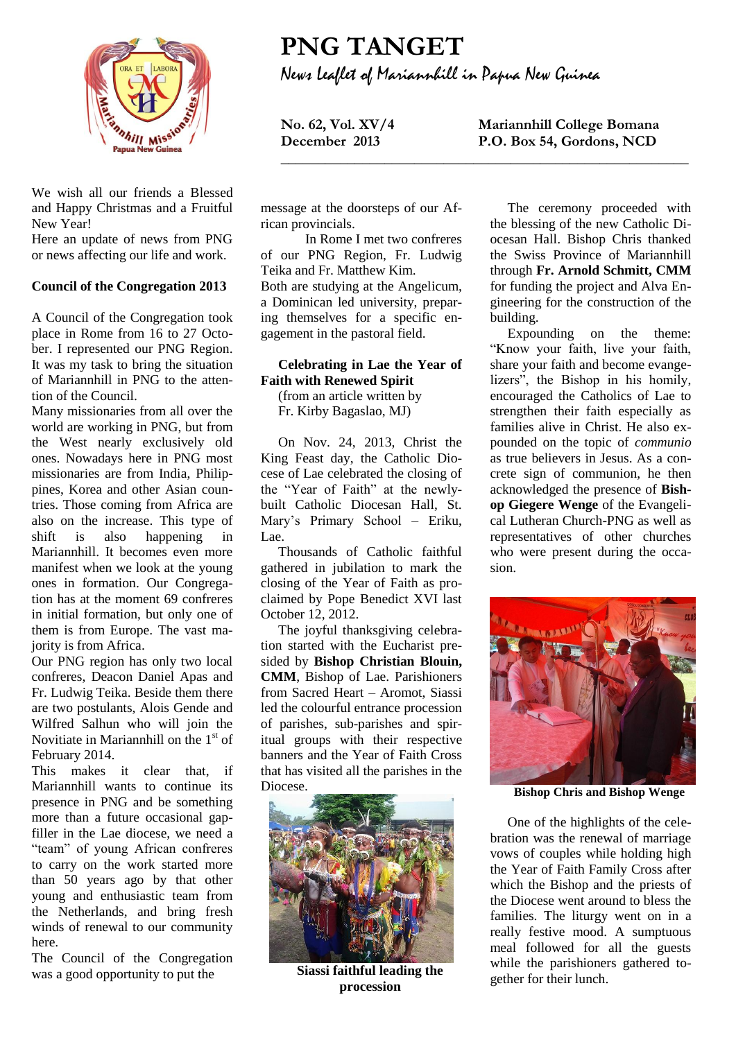

We wish all our friends a Blessed and Happy Christmas and a Fruitful New Year!

Here an update of news from PNG or news affecting our life and work.

## **Council of the Congregation 2013**

A Council of the Congregation took place in Rome from 16 to 27 October. I represented our PNG Region. It was my task to bring the situation of Mariannhill in PNG to the attention of the Council.

Many missionaries from all over the world are working in PNG, but from the West nearly exclusively old ones. Nowadays here in PNG most missionaries are from India, Philippines, Korea and other Asian countries. Those coming from Africa are also on the increase. This type of shift is also happening in Mariannhill. It becomes even more manifest when we look at the young ones in formation. Our Congregation has at the moment 69 confreres in initial formation, but only one of them is from Europe. The vast majority is from Africa.

Our PNG region has only two local confreres, Deacon Daniel Apas and Fr. Ludwig Teika. Beside them there are two postulants, Alois Gende and Wilfred Salhun who will join the Novitiate in Mariannhill on the  $1<sup>st</sup>$  of February 2014.

This makes it clear that, if Mariannhill wants to continue its presence in PNG and be something more than a future occasional gapfiller in the Lae diocese, we need a "team" of young African confreres to carry on the work started more than 50 years ago by that other young and enthusiastic team from the Netherlands, and bring fresh winds of renewal to our community here.

The Council of the Congregation was a good opportunity to put the

**PNG TANGET** News Leaflet of Mariannhill in Papua New Guinea

**\_\_\_\_\_\_\_\_\_\_\_\_\_\_\_\_\_\_\_\_\_\_\_\_\_\_\_\_\_\_\_\_\_\_\_\_\_\_\_\_\_\_\_\_\_\_\_\_\_\_\_\_\_\_\_**

**No. 62, Vol. XV/4 Mariannhill College Bomana December 2013 P.O. Box 54, Gordons, NCD**

message at the doorsteps of our African provincials.

In Rome I met two confreres of our PNG Region, Fr. Ludwig Teika and Fr. Matthew Kim. Both are studying at the Angelicum, a Dominican led university, preparing themselves for a specific engagement in the pastoral field.

## **Celebrating in Lae the Year of Faith with Renewed Spirit**

(from an article written by Fr. Kirby Bagaslao, MJ)

On Nov. 24, 2013, Christ the King Feast day, the Catholic Diocese of Lae celebrated the closing of the "Year of Faith" at the newlybuilt Catholic Diocesan Hall, St. Mary's Primary School – Eriku, Lae.

Thousands of Catholic faithful gathered in jubilation to mark the closing of the Year of Faith as proclaimed by Pope Benedict XVI last October 12, 2012.

The joyful thanksgiving celebration started with the Eucharist presided by **Bishop Christian Blouin, CMM**, Bishop of Lae. Parishioners from Sacred Heart – Aromot, Siassi led the colourful entrance procession of parishes, sub-parishes and spiritual groups with their respective banners and the Year of Faith Cross that has visited all the parishes in the Diocese.



**Siassi faithful leading the procession**

The ceremony proceeded with the blessing of the new Catholic Diocesan Hall. Bishop Chris thanked the Swiss Province of Mariannhill through **Fr. Arnold Schmitt, CMM** for funding the project and Alva Engineering for the construction of the building.

Expounding on the theme: "Know your faith, live your faith, share your faith and become evangelizers", the Bishop in his homily, encouraged the Catholics of Lae to strengthen their faith especially as families alive in Christ. He also expounded on the topic of *communio* as true believers in Jesus. As a concrete sign of communion, he then acknowledged the presence of **Bishop Giegere Wenge** of the Evangelical Lutheran Church-PNG as well as representatives of other churches who were present during the occasion.



**Bishop Chris and Bishop Wenge**

One of the highlights of the celebration was the renewal of marriage vows of couples while holding high the Year of Faith Family Cross after which the Bishop and the priests of the Diocese went around to bless the families. The liturgy went on in a really festive mood. A sumptuous meal followed for all the guests while the parishioners gathered together for their lunch.